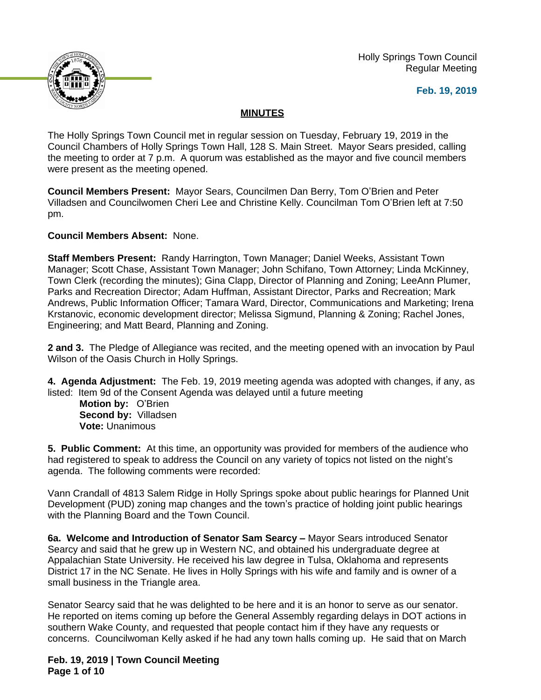

 Holly Springs Town Council Regular Meeting

#### **Feb. 19, 2019**

## **MINUTES**

The Holly Springs Town Council met in regular session on Tuesday, February 19, 2019 in the Council Chambers of Holly Springs Town Hall, 128 S. Main Street. Mayor Sears presided, calling the meeting to order at 7 p.m. A quorum was established as the mayor and five council members were present as the meeting opened.

**Council Members Present:** Mayor Sears, Councilmen Dan Berry, Tom O'Brien and Peter Villadsen and Councilwomen Cheri Lee and Christine Kelly. Councilman Tom O'Brien left at 7:50 pm.

**Council Members Absent:** None.

**Staff Members Present:** Randy Harrington, Town Manager; Daniel Weeks, Assistant Town Manager; Scott Chase, Assistant Town Manager; John Schifano, Town Attorney; Linda McKinney, Town Clerk (recording the minutes); Gina Clapp, Director of Planning and Zoning; LeeAnn Plumer, Parks and Recreation Director; Adam Huffman, Assistant Director, Parks and Recreation; Mark Andrews, Public Information Officer; Tamara Ward, Director, Communications and Marketing; Irena Krstanovic, economic development director; Melissa Sigmund, Planning & Zoning; Rachel Jones, Engineering; and Matt Beard, Planning and Zoning.

**2 and 3.** The Pledge of Allegiance was recited, and the meeting opened with an invocation by Paul Wilson of the Oasis Church in Holly Springs.

**4. Agenda Adjustment:** The Feb. 19, 2019 meeting agenda was adopted with changes, if any, as listed: Item 9d of the Consent Agenda was delayed until a future meeting

**Motion by:** O'Brien **Second by:** Villadsen **Vote:** Unanimous

**5. Public Comment:** At this time, an opportunity was provided for members of the audience who had registered to speak to address the Council on any variety of topics not listed on the night's agenda. The following comments were recorded:

Vann Crandall of 4813 Salem Ridge in Holly Springs spoke about public hearings for Planned Unit Development (PUD) zoning map changes and the town's practice of holding joint public hearings with the Planning Board and the Town Council.

**6a. Welcome and Introduction of Senator Sam Searcy –** Mayor Sears introduced Senator Searcy and said that he grew up in Western NC, and obtained his undergraduate degree at Appalachian State University. He received his law degree in Tulsa, Oklahoma and represents District 17 in the NC Senate. He lives in Holly Springs with his wife and family and is owner of a small business in the Triangle area.

Senator Searcy said that he was delighted to be here and it is an honor to serve as our senator. He reported on items coming up before the General Assembly regarding delays in DOT actions in southern Wake County, and requested that people contact him if they have any requests or concerns. Councilwoman Kelly asked if he had any town halls coming up. He said that on March

**Feb. 19, 2019 | Town Council Meeting Page 1 of 10**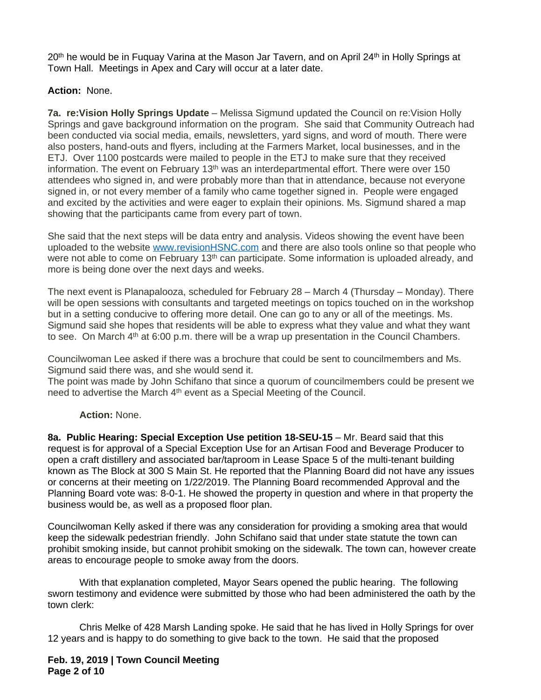20<sup>th</sup> he would be in Fuguay Varina at the Mason Jar Tavern, and on April 24<sup>th</sup> in Holly Springs at Town Hall. Meetings in Apex and Cary will occur at a later date.

### **Action:** None.

**7a. re:Vision Holly Springs Update** – Melissa Sigmund updated the Council on re:Vision Holly Springs and gave background information on the program. She said that Community Outreach had been conducted via social media, emails, newsletters, yard signs, and word of mouth. There were also posters, hand-outs and flyers, including at the Farmers Market, local businesses, and in the ETJ. Over 1100 postcards were mailed to people in the ETJ to make sure that they received information. The event on February  $13<sup>th</sup>$  was an interdepartmental effort. There were over 150 attendees who signed in, and were probably more than that in attendance, because not everyone signed in, or not every member of a family who came together signed in. People were engaged and excited by the activities and were eager to explain their opinions. Ms. Sigmund shared a map showing that the participants came from every part of town.

She said that the next steps will be data entry and analysis. Videos showing the event have been uploaded to the website [www.revisionHSNC.com](http://www.revisionHSNC.com) and there are also tools online so that people who were not able to come on February 13<sup>th</sup> can participate. Some information is uploaded already, and more is being done over the next days and weeks.

The next event is Planapalooza, scheduled for February 28 – March 4 (Thursday – Monday). There will be open sessions with consultants and targeted meetings on topics touched on in the workshop but in a setting conducive to offering more detail. One can go to any or all of the meetings. Ms. Sigmund said she hopes that residents will be able to express what they value and what they want to see. On March 4<sup>th</sup> at 6:00 p.m. there will be a wrap up presentation in the Council Chambers.

Councilwoman Lee asked if there was a brochure that could be sent to councilmembers and Ms. Sigmund said there was, and she would send it.

The point was made by John Schifano that since a quorum of councilmembers could be present we need to advertise the March 4<sup>th</sup> event as a Special Meeting of the Council.

# **Action:** None.

8a. Public Hearing: Special Exception Use petition 18-SEU-15 - Mr. Beard said that this request is for approval of a Special Exception Use for an Artisan Food and Beverage Producer to open a craft distillery and associated bar/taproom in Lease Space 5 of the multi-tenant building known as The Block at 300 S Main St. He reported that the Planning Board did not have any issues or concerns at their meeting on 1/22/2019. The Planning Board recommended Approval and the Planning Board vote was: 8-0-1. He showed the property in question and where in that property the business would be, as well as a proposed floor plan.

Councilwoman Kelly asked if there was any consideration for providing a smoking area that would keep the sidewalk pedestrian friendly. John Schifano said that under state statute the town can prohibit smoking inside, but cannot prohibit smoking on the sidewalk. The town can, however create areas to encourage people to smoke away from the doors.

With that explanation completed, Mayor Sears opened the public hearing. The following sworn testimony and evidence were submitted by those who had been administered the oath by the town clerk:

Chris Melke of 428 Marsh Landing spoke. He said that he has lived in Holly Springs for over 12 years and is happy to do something to give back to the town. He said that the proposed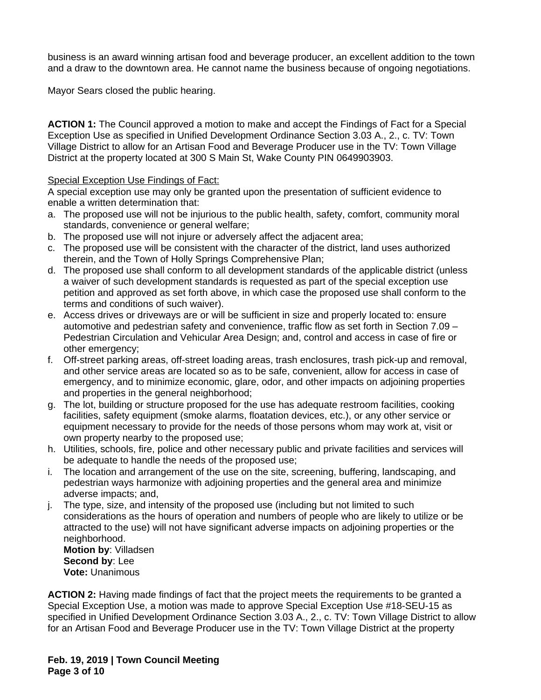business is an award winning artisan food and beverage producer, an excellent addition to the town and a draw to the downtown area. He cannot name the business because of ongoing negotiations.

Mayor Sears closed the public hearing.

**ACTION 1:** The Council approved a motion to make and accept the Findings of Fact for a Special Exception Use as specified in Unified Development Ordinance Section 3.03 A., 2., c. TV: Town Village District to allow for an Artisan Food and Beverage Producer use in the TV: Town Village District at the property located at 300 S Main St, Wake County PIN 0649903903.

### Special Exception Use Findings of Fact:

A special exception use may only be granted upon the presentation of sufficient evidence to enable a written determination that:

- a. The proposed use will not be injurious to the public health, safety, comfort, community moral standards, convenience or general welfare;
- b. The proposed use will not injure or adversely affect the adjacent area;
- c. The proposed use will be consistent with the character of the district, land uses authorized therein, and the Town of Holly Springs Comprehensive Plan;
- d. The proposed use shall conform to all development standards of the applicable district (unless a waiver of such development standards is requested as part of the special exception use petition and approved as set forth above, in which case the proposed use shall conform to the terms and conditions of such waiver).
- e. Access drives or driveways are or will be sufficient in size and properly located to: ensure automotive and pedestrian safety and convenience, traffic flow as set forth in Section 7.09 – Pedestrian Circulation and Vehicular Area Design; and, control and access in case of fire or other emergency;
- f. Off-street parking areas, off-street loading areas, trash enclosures, trash pick-up and removal, and other service areas are located so as to be safe, convenient, allow for access in case of emergency, and to minimize economic, glare, odor, and other impacts on adjoining properties and properties in the general neighborhood;
- g. The lot, building or structure proposed for the use has adequate restroom facilities, cooking facilities, safety equipment (smoke alarms, floatation devices, etc.), or any other service or equipment necessary to provide for the needs of those persons whom may work at, visit or own property nearby to the proposed use;
- h. Utilities, schools, fire, police and other necessary public and private facilities and services will be adequate to handle the needs of the proposed use;
- i. The location and arrangement of the use on the site, screening, buffering, landscaping, and pedestrian ways harmonize with adjoining properties and the general area and minimize adverse impacts; and,
- j. The type, size, and intensity of the proposed use (including but not limited to such considerations as the hours of operation and numbers of people who are likely to utilize or be attracted to the use) will not have significant adverse impacts on adjoining properties or the neighborhood.

**Motion by**: Villadsen **Second by**: Lee **Vote:** Unanimous

**ACTION 2:** Having made findings of fact that the project meets the requirements to be granted a Special Exception Use, a motion was made to approve Special Exception Use #18-SEU-15 as specified in Unified Development Ordinance Section 3.03 A., 2., c. TV: Town Village District to allow for an Artisan Food and Beverage Producer use in the TV: Town Village District at the property

**Feb. 19, 2019 | Town Council Meeting Page 3 of 10**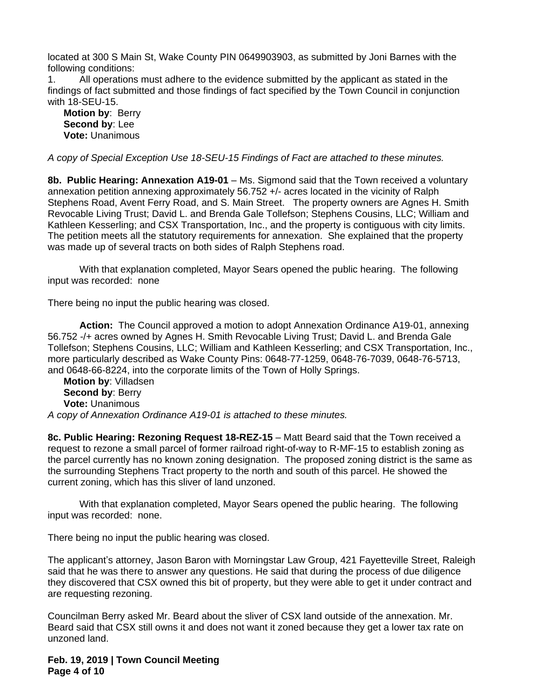located at 300 S Main St, Wake County PIN 0649903903, as submitted by Joni Barnes with the following conditions:

1. All operations must adhere to the evidence submitted by the applicant as stated in the findings of fact submitted and those findings of fact specified by the Town Council in conjunction with 18-SEU-15.

**Motion by**: Berry **Second by**: Lee **Vote:** Unanimous

*A copy of Special Exception Use 18-SEU-15 Findings of Fact are attached to these minutes.*

**8b. Public Hearing: Annexation A19-01** – Ms. Sigmond said that the Town received a voluntary annexation petition annexing approximately 56.752 +/- acres located in the vicinity of Ralph Stephens Road, Avent Ferry Road, and S. Main Street. The property owners are Agnes H. Smith Revocable Living Trust; David L. and Brenda Gale Tollefson; Stephens Cousins, LLC; William and Kathleen Kesserling; and CSX Transportation, Inc., and the property is contiguous with city limits. The petition meets all the statutory requirements for annexation. She explained that the property was made up of several tracts on both sides of Ralph Stephens road.

With that explanation completed, Mayor Sears opened the public hearing. The following input was recorded: none

There being no input the public hearing was closed.

**Action:** The Council approved a motion to adopt Annexation Ordinance A19-01, annexing 56.752 -/+ acres owned by Agnes H. Smith Revocable Living Trust; David L. and Brenda Gale Tollefson; Stephens Cousins, LLC; William and Kathleen Kesserling; and CSX Transportation, Inc., more particularly described as Wake County Pins: 0648-77-1259, 0648-76-7039, 0648-76-5713, and 0648-66-8224, into the corporate limits of the Town of Holly Springs.

**Motion by**: Villadsen **Second by**: Berry **Vote:** Unanimous *A copy of Annexation Ordinance A19-01 is attached to these minutes.*

**8c. Public Hearing: Rezoning Request 18-REZ-15** – Matt Beard said that the Town received a request to rezone a small parcel of former railroad right-of-way to R-MF-15 to establish zoning as the parcel currently has no known zoning designation. The proposed zoning district is the same as the surrounding Stephens Tract property to the north and south of this parcel. He showed the current zoning, which has this sliver of land unzoned.

With that explanation completed, Mayor Sears opened the public hearing. The following input was recorded: none.

There being no input the public hearing was closed.

The applicant's attorney, Jason Baron with Morningstar Law Group, 421 Fayetteville Street, Raleigh said that he was there to answer any questions. He said that during the process of due diligence they discovered that CSX owned this bit of property, but they were able to get it under contract and are requesting rezoning.

Councilman Berry asked Mr. Beard about the sliver of CSX land outside of the annexation. Mr. Beard said that CSX still owns it and does not want it zoned because they get a lower tax rate on unzoned land.

**Feb. 19, 2019 | Town Council Meeting Page 4 of 10**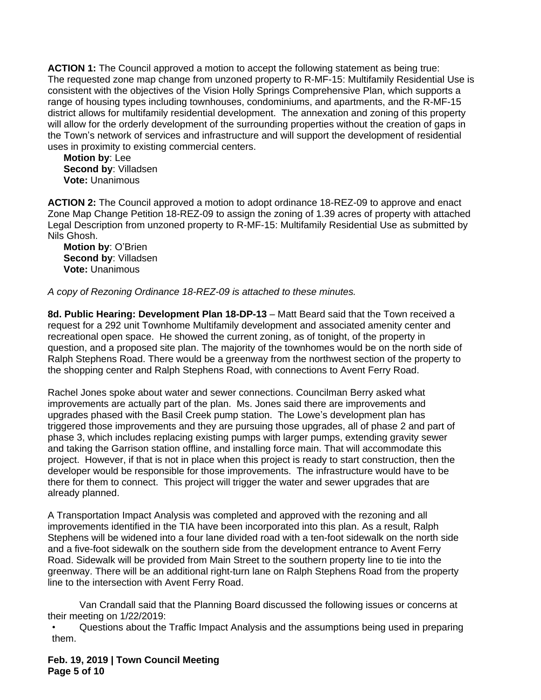**ACTION 1:** The Council approved a motion to accept the following statement as being true: The requested zone map change from unzoned property to R-MF-15: Multifamily Residential Use is consistent with the objectives of the Vision Holly Springs Comprehensive Plan, which supports a range of housing types including townhouses, condominiums, and apartments, and the R-MF-15 district allows for multifamily residential development. The annexation and zoning of this property will allow for the orderly development of the surrounding properties without the creation of gaps in the Town's network of services and infrastructure and will support the development of residential uses in proximity to existing commercial centers.

**Motion by**: Lee **Second by**: Villadsen **Vote:** Unanimous

**ACTION 2:** The Council approved a motion to adopt ordinance 18-REZ-09 to approve and enact Zone Map Change Petition 18-REZ-09 to assign the zoning of 1.39 acres of property with attached Legal Description from unzoned property to R-MF-15: Multifamily Residential Use as submitted by Nils Ghosh.

**Motion by**: O'Brien **Second by**: Villadsen **Vote:** Unanimous

*A copy of Rezoning Ordinance 18-REZ-09 is attached to these minutes.*

**8d. Public Hearing: Development Plan 18-DP-13** – Matt Beard said that the Town received a request for a 292 unit Townhome Multifamily development and associated amenity center and recreational open space. He showed the current zoning, as of tonight, of the property in question, and a proposed site plan. The majority of the townhomes would be on the north side of Ralph Stephens Road. There would be a greenway from the northwest section of the property to the shopping center and Ralph Stephens Road, with connections to Avent Ferry Road.

Rachel Jones spoke about water and sewer connections. Councilman Berry asked what improvements are actually part of the plan. Ms. Jones said there are improvements and upgrades phased with the Basil Creek pump station. The Lowe's development plan has triggered those improvements and they are pursuing those upgrades, all of phase 2 and part of phase 3, which includes replacing existing pumps with larger pumps, extending gravity sewer and taking the Garrison station offline, and installing force main. That will accommodate this project. However, if that is not in place when this project is ready to start construction, then the developer would be responsible for those improvements. The infrastructure would have to be there for them to connect. This project will trigger the water and sewer upgrades that are already planned.

A Transportation Impact Analysis was completed and approved with the rezoning and all improvements identified in the TIA have been incorporated into this plan. As a result, Ralph Stephens will be widened into a four lane divided road with a ten-foot sidewalk on the north side and a five-foot sidewalk on the southern side from the development entrance to Avent Ferry Road. Sidewalk will be provided from Main Street to the southern property line to tie into the greenway. There will be an additional right-turn lane on Ralph Stephens Road from the property line to the intersection with Avent Ferry Road.

Van Crandall said that the Planning Board discussed the following issues or concerns at their meeting on 1/22/2019:

• Questions about the Traffic Impact Analysis and the assumptions being used in preparing them.

**Feb. 19, 2019 | Town Council Meeting Page 5 of 10**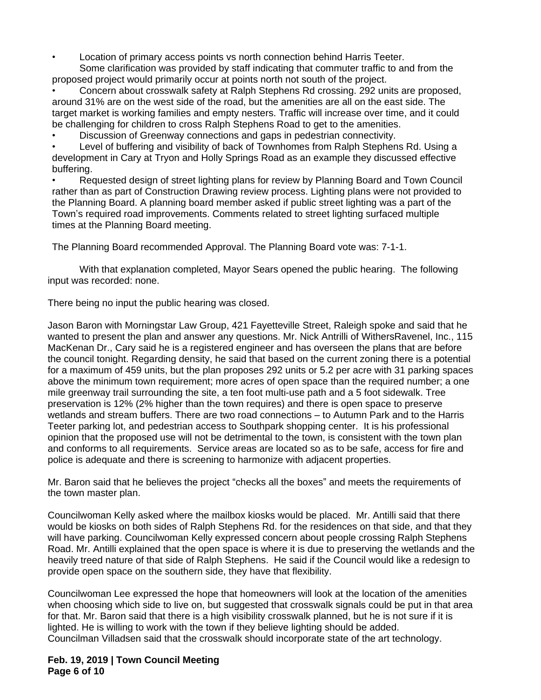• Location of primary access points vs north connection behind Harris Teeter.

Some clarification was provided by staff indicating that commuter traffic to and from the proposed project would primarily occur at points north not south of the project.

• Concern about crosswalk safety at Ralph Stephens Rd crossing. 292 units are proposed, around 31% are on the west side of the road, but the amenities are all on the east side. The target market is working families and empty nesters. Traffic will increase over time, and it could be challenging for children to cross Ralph Stephens Road to get to the amenities.

• Discussion of Greenway connections and gaps in pedestrian connectivity.

Level of buffering and visibility of back of Townhomes from Ralph Stephens Rd. Using a development in Cary at Tryon and Holly Springs Road as an example they discussed effective buffering.

• Requested design of street lighting plans for review by Planning Board and Town Council rather than as part of Construction Drawing review process. Lighting plans were not provided to the Planning Board. A planning board member asked if public street lighting was a part of the Town's required road improvements. Comments related to street lighting surfaced multiple times at the Planning Board meeting.

The Planning Board recommended Approval. The Planning Board vote was: 7-1-1.

With that explanation completed, Mayor Sears opened the public hearing. The following input was recorded: none.

There being no input the public hearing was closed.

Jason Baron with Morningstar Law Group, 421 Fayetteville Street, Raleigh spoke and said that he wanted to present the plan and answer any questions. Mr. Nick Antrilli of WithersRavenel, Inc., 115 MacKenan Dr., Cary said he is a registered engineer and has overseen the plans that are before the council tonight. Regarding density, he said that based on the current zoning there is a potential for a maximum of 459 units, but the plan proposes 292 units or 5.2 per acre with 31 parking spaces above the minimum town requirement; more acres of open space than the required number; a one mile greenway trail surrounding the site, a ten foot multi-use path and a 5 foot sidewalk. Tree preservation is 12% (2% higher than the town requires) and there is open space to preserve wetlands and stream buffers. There are two road connections – to Autumn Park and to the Harris Teeter parking lot, and pedestrian access to Southpark shopping center. It is his professional opinion that the proposed use will not be detrimental to the town, is consistent with the town plan and conforms to all requirements. Service areas are located so as to be safe, access for fire and police is adequate and there is screening to harmonize with adjacent properties.

Mr. Baron said that he believes the project "checks all the boxes" and meets the requirements of the town master plan.

Councilwoman Kelly asked where the mailbox kiosks would be placed. Mr. Antilli said that there would be kiosks on both sides of Ralph Stephens Rd. for the residences on that side, and that they will have parking. Councilwoman Kelly expressed concern about people crossing Ralph Stephens Road. Mr. Antilli explained that the open space is where it is due to preserving the wetlands and the heavily treed nature of that side of Ralph Stephens. He said if the Council would like a redesign to provide open space on the southern side, they have that flexibility.

Councilwoman Lee expressed the hope that homeowners will look at the location of the amenities when choosing which side to live on, but suggested that crosswalk signals could be put in that area for that. Mr. Baron said that there is a high visibility crosswalk planned, but he is not sure if it is lighted. He is willing to work with the town if they believe lighting should be added. Councilman Villadsen said that the crosswalk should incorporate state of the art technology.

**Feb. 19, 2019 | Town Council Meeting Page 6 of 10**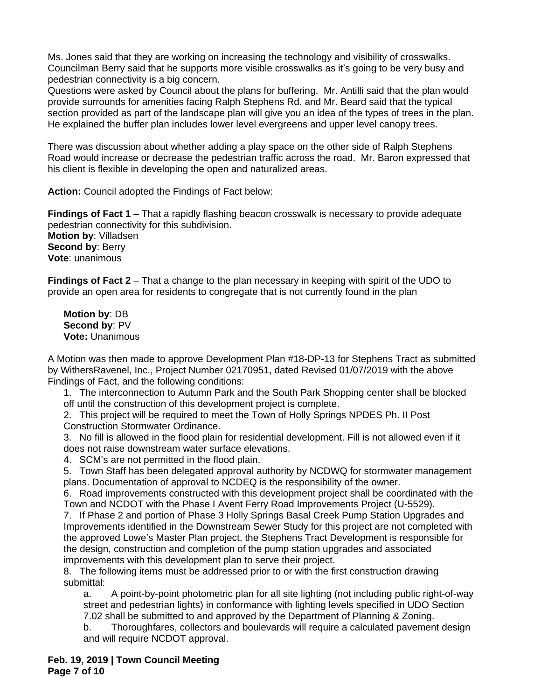Ms. Jones said that they are working on increasing the technology and visibility of crosswalks. Councilman Berry said that he supports more visible crosswalks as it's going to be very busy and pedestrian connectivity is a big concern.

Questions were asked by Council about the plans for buffering. Mr. Antilli said that the plan would provide surrounds for amenities facing Ralph Stephens Rd. and Mr. Beard said that the typical section provided as part of the landscape plan will give you an idea of the types of trees in the plan. He explained the buffer plan includes lower level evergreens and upper level canopy trees.

There was discussion about whether adding a play space on the other side of Ralph Stephens Road would increase or decrease the pedestrian traffic across the road. Mr. Baron expressed that his client is flexible in developing the open and naturalized areas.

**Action:** Council adopted the Findings of Fact below:

**Findings of Fact 1** – That a rapidly flashing beacon crosswalk is necessary to provide adequate pedestrian connectivity for this subdivision. **Motion by**: Villadsen **Second by**: Berry **Vote**: unanimous

**Findings of Fact 2** – That a change to the plan necessary in keeping with spirit of the UDO to provide an open area for residents to congregate that is not currently found in the plan

**Motion by**: DB **Second by**: PV **Vote:** Unanimous

A Motion was then made to approve Development Plan #18-DP-13 for Stephens Tract as submitted by WithersRavenel, Inc., Project Number 02170951, dated Revised 01/07/2019 with the above Findings of Fact, and the following conditions:

1. The interconnection to Autumn Park and the South Park Shopping center shall be blocked off until the construction of this development project is complete.

2. This project will be required to meet the Town of Holly Springs NPDES Ph. II Post Construction Stormwater Ordinance.

3. No fill is allowed in the flood plain for residential development. Fill is not allowed even if it does not raise downstream water surface elevations.

4. SCM's are not permitted in the flood plain.

5. Town Staff has been delegated approval authority by NCDWQ for stormwater management plans. Documentation of approval to NCDEQ is the responsibility of the owner.

6. Road improvements constructed with this development project shall be coordinated with the Town and NCDOT with the Phase I Avent Ferry Road Improvements Project (U-5529).

7. If Phase 2 and portion of Phase 3 Holly Springs Basal Creek Pump Station Upgrades and Improvements identified in the Downstream Sewer Study for this project are not completed with the approved Lowe's Master Plan project, the Stephens Tract Development is responsible for the design, construction and completion of the pump station upgrades and associated improvements with this development plan to serve their project.

8. The following items must be addressed prior to or with the first construction drawing submittal:

a. A point-by-point photometric plan for all site lighting (not including public right-of-way street and pedestrian lights) in conformance with lighting levels specified in UDO Section 7.02 shall be submitted to and approved by the Department of Planning & Zoning.

b. Thoroughfares, collectors and boulevards will require a calculated pavement design and will require NCDOT approval.

**Feb. 19, 2019 | Town Council Meeting Page 7 of 10**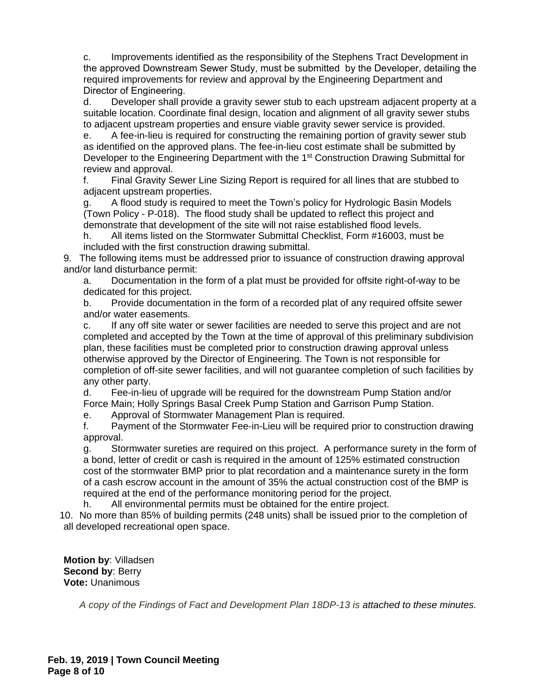c. Improvements identified as the responsibility of the Stephens Tract Development in the approved Downstream Sewer Study, must be submitted by the Developer, detailing the required improvements for review and approval by the Engineering Department and Director of Engineering.

d. Developer shall provide a gravity sewer stub to each upstream adjacent property at a suitable location. Coordinate final design, location and alignment of all gravity sewer stubs to adjacent upstream properties and ensure viable gravity sewer service is provided.

e. A fee-in-lieu is required for constructing the remaining portion of gravity sewer stub as identified on the approved plans. The fee-in-lieu cost estimate shall be submitted by Developer to the Engineering Department with the 1<sup>st</sup> Construction Drawing Submittal for review and approval.

f. Final Gravity Sewer Line Sizing Report is required for all lines that are stubbed to adjacent upstream properties.

g. A flood study is required to meet the Town's policy for Hydrologic Basin Models (Town Policy - P-018). The flood study shall be updated to reflect this project and demonstrate that development of the site will not raise established flood levels.

h. All items listed on the Stormwater Submittal Checklist, Form #16003, must be included with the first construction drawing submittal.

9. The following items must be addressed prior to issuance of construction drawing approval and/or land disturbance permit:

a. Documentation in the form of a plat must be provided for offsite right-of-way to be dedicated for this project.

b. Provide documentation in the form of a recorded plat of any required offsite sewer and/or water easements.

c. If any off site water or sewer facilities are needed to serve this project and are not completed and accepted by the Town at the time of approval of this preliminary subdivision plan, these facilities must be completed prior to construction drawing approval unless otherwise approved by the Director of Engineering. The Town is not responsible for completion of off-site sewer facilities, and will not guarantee completion of such facilities by any other party.

d. Fee-in-lieu of upgrade will be required for the downstream Pump Station and/or Force Main; Holly Springs Basal Creek Pump Station and Garrison Pump Station.

e. Approval of Stormwater Management Plan is required.

f. Payment of the Stormwater Fee-in-Lieu will be required prior to construction drawing approval.

g. Stormwater sureties are required on this project. A performance surety in the form of a bond, letter of credit or cash is required in the amount of 125% estimated construction cost of the stormwater BMP prior to plat recordation and a maintenance surety in the form of a cash escrow account in the amount of 35% the actual construction cost of the BMP is required at the end of the performance monitoring period for the project.

h. All environmental permits must be obtained for the entire project.

10. No more than 85% of building permits (248 units) shall be issued prior to the completion of all developed recreational open space.

**Motion by**: Villadsen **Second by**: Berry **Vote:** Unanimous

*A copy of the Findings of Fact and Development Plan 18DP-13 is attached to these minutes.*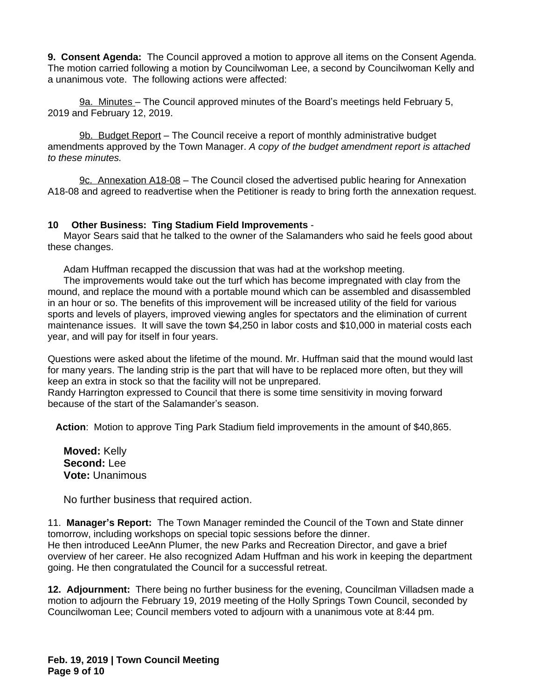**9. Consent Agenda:** The Council approved a motion to approve all items on the Consent Agenda. The motion carried following a motion by Councilwoman Lee, a second by Councilwoman Kelly and a unanimous vote. The following actions were affected:

9a. Minutes - The Council approved minutes of the Board's meetings held February 5, 2019 and February 12, 2019.

9b. Budget Report – The Council receive a report of monthly administrative budget amendments approved by the Town Manager. *A copy of the budget amendment report is attached to these minutes.* 

9c. Annexation A18-08 – The Council closed the advertised public hearing for Annexation A18-08 and agreed to readvertise when the Petitioner is ready to bring forth the annexation request.

### **10 Other Business: Ting Stadium Field Improvements** -

Mayor Sears said that he talked to the owner of the Salamanders who said he feels good about these changes.

Adam Huffman recapped the discussion that was had at the workshop meeting.

The improvements would take out the turf which has become impregnated with clay from the mound, and replace the mound with a portable mound which can be assembled and disassembled in an hour or so. The benefits of this improvement will be increased utility of the field for various sports and levels of players, improved viewing angles for spectators and the elimination of current maintenance issues. It will save the town \$4,250 in labor costs and \$10,000 in material costs each year, and will pay for itself in four years.

Questions were asked about the lifetime of the mound. Mr. Huffman said that the mound would last for many years. The landing strip is the part that will have to be replaced more often, but they will keep an extra in stock so that the facility will not be unprepared.

Randy Harrington expressed to Council that there is some time sensitivity in moving forward because of the start of the Salamander's season.

**Action**: Motion to approve Ting Park Stadium field improvements in the amount of \$40,865.

**Moved:** Kelly **Second:** Lee **Vote:** Unanimous

No further business that required action.

11. **Manager's Report:** The Town Manager reminded the Council of the Town and State dinner tomorrow, including workshops on special topic sessions before the dinner. He then introduced LeeAnn Plumer, the new Parks and Recreation Director, and gave a brief overview of her career. He also recognized Adam Huffman and his work in keeping the department going. He then congratulated the Council for a successful retreat.

**12. Adjournment:** There being no further business for the evening, Councilman Villadsen made a motion to adjourn the February 19, 2019 meeting of the Holly Springs Town Council, seconded by Councilwoman Lee; Council members voted to adjourn with a unanimous vote at 8:44 pm.